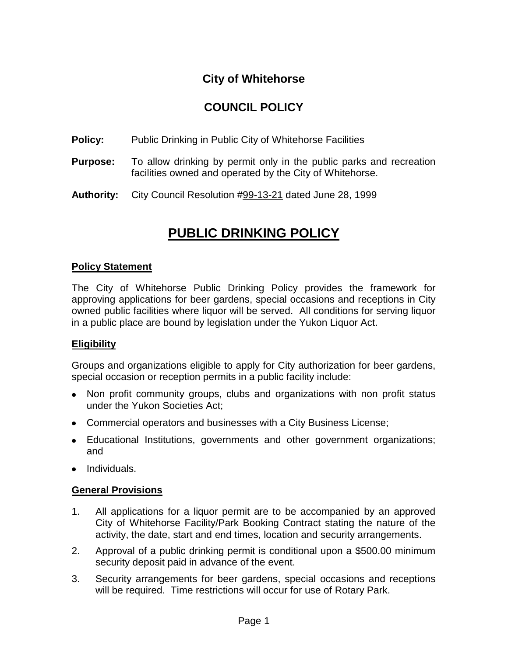## **City of Whitehorse**

## **COUNCIL POLICY**

**Policy:** Public Drinking in Public City of Whitehorse Facilities

- **Purpose:** To allow drinking by permit only in the public parks and recreation facilities owned and operated by the City of Whitehorse.
- **Authority:** City Council Resolution #99-13-21 dated June 28, 1999

# **PUBLIC DRINKING POLICY**

#### **Policy Statement**

The City of Whitehorse Public Drinking Policy provides the framework for approving applications for beer gardens, special occasions and receptions in City owned public facilities where liquor will be served. All conditions for serving liquor in a public place are bound by legislation under the Yukon Liquor Act.

#### **Eligibility**

Groups and organizations eligible to apply for City authorization for beer gardens, special occasion or reception permits in a public facility include:

- Non profit community groups, clubs and organizations with non profit status under the Yukon Societies Act;
- Commercial operators and businesses with a City Business License;
- Educational Institutions, governments and other government organizations; and
- Individuals.

#### **General Provisions**

- 1. All applications for a liquor permit are to be accompanied by an approved City of Whitehorse Facility/Park Booking Contract stating the nature of the activity, the date, start and end times, location and security arrangements.
- 2. Approval of a public drinking permit is conditional upon a \$500.00 minimum security deposit paid in advance of the event.
- 3. Security arrangements for beer gardens, special occasions and receptions will be required. Time restrictions will occur for use of Rotary Park.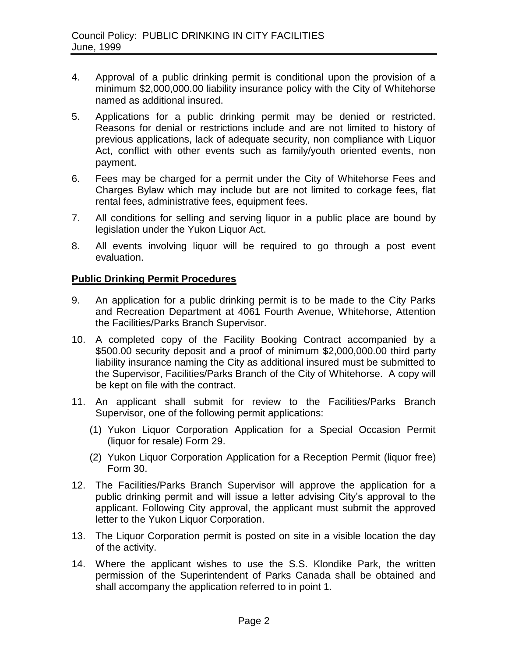- 4. Approval of a public drinking permit is conditional upon the provision of a minimum \$2,000,000.00 liability insurance policy with the City of Whitehorse named as additional insured.
- 5. Applications for a public drinking permit may be denied or restricted. Reasons for denial or restrictions include and are not limited to history of previous applications, lack of adequate security, non compliance with Liquor Act, conflict with other events such as family/youth oriented events, non payment.
- 6. Fees may be charged for a permit under the City of Whitehorse Fees and Charges Bylaw which may include but are not limited to corkage fees, flat rental fees, administrative fees, equipment fees.
- 7. All conditions for selling and serving liquor in a public place are bound by legislation under the Yukon Liquor Act.
- 8. All events involving liquor will be required to go through a post event evaluation.

### **Public Drinking Permit Procedures**

- 9. An application for a public drinking permit is to be made to the City Parks and Recreation Department at 4061 Fourth Avenue, Whitehorse, Attention the Facilities/Parks Branch Supervisor.
- 10. A completed copy of the Facility Booking Contract accompanied by a \$500.00 security deposit and a proof of minimum \$2,000,000.00 third party liability insurance naming the City as additional insured must be submitted to the Supervisor, Facilities/Parks Branch of the City of Whitehorse. A copy will be kept on file with the contract.
- 11. An applicant shall submit for review to the Facilities/Parks Branch Supervisor, one of the following permit applications:
	- (1) Yukon Liquor Corporation Application for a Special Occasion Permit (liquor for resale) Form 29.
	- (2) Yukon Liquor Corporation Application for a Reception Permit (liquor free) Form 30.
- 12. The Facilities/Parks Branch Supervisor will approve the application for a public drinking permit and will issue a letter advising City's approval to the applicant. Following City approval, the applicant must submit the approved letter to the Yukon Liquor Corporation.
- 13. The Liquor Corporation permit is posted on site in a visible location the day of the activity.
- 14. Where the applicant wishes to use the S.S. Klondike Park, the written permission of the Superintendent of Parks Canada shall be obtained and shall accompany the application referred to in point 1.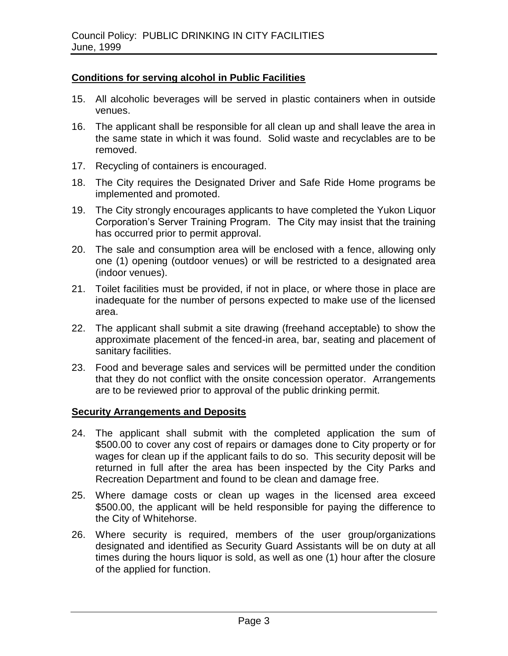#### **Conditions for serving alcohol in Public Facilities**

- 15. All alcoholic beverages will be served in plastic containers when in outside venues.
- 16. The applicant shall be responsible for all clean up and shall leave the area in the same state in which it was found. Solid waste and recyclables are to be removed.
- 17. Recycling of containers is encouraged.
- 18. The City requires the Designated Driver and Safe Ride Home programs be implemented and promoted.
- 19. The City strongly encourages applicants to have completed the Yukon Liquor Corporation's Server Training Program. The City may insist that the training has occurred prior to permit approval.
- 20. The sale and consumption area will be enclosed with a fence, allowing only one (1) opening (outdoor venues) or will be restricted to a designated area (indoor venues).
- 21. Toilet facilities must be provided, if not in place, or where those in place are inadequate for the number of persons expected to make use of the licensed area.
- 22. The applicant shall submit a site drawing (freehand acceptable) to show the approximate placement of the fenced-in area, bar, seating and placement of sanitary facilities.
- 23. Food and beverage sales and services will be permitted under the condition that they do not conflict with the onsite concession operator. Arrangements are to be reviewed prior to approval of the public drinking permit.

#### **Security Arrangements and Deposits**

- 24. The applicant shall submit with the completed application the sum of \$500.00 to cover any cost of repairs or damages done to City property or for wages for clean up if the applicant fails to do so. This security deposit will be returned in full after the area has been inspected by the City Parks and Recreation Department and found to be clean and damage free.
- 25. Where damage costs or clean up wages in the licensed area exceed \$500.00, the applicant will be held responsible for paying the difference to the City of Whitehorse.
- 26. Where security is required, members of the user group/organizations designated and identified as Security Guard Assistants will be on duty at all times during the hours liquor is sold, as well as one (1) hour after the closure of the applied for function.